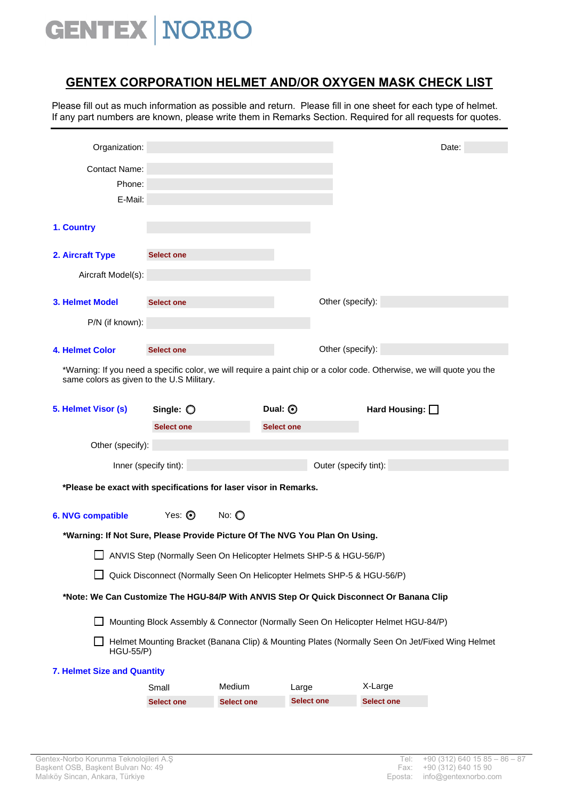## **GENTEX NORBO**

## **GENTEX CORPORATION HELMET AND/OR OXYGEN MASK CHECK LIST**

Please fill out as much information as possible and return. Please fill in one sheet for each type of helmet. If any part numbers are known, please write them in Remarks Section. Required for all requests for quotes.

| Organization:                                                               |                                                                         |                   |                   |                                                                                                                        | Date: |
|-----------------------------------------------------------------------------|-------------------------------------------------------------------------|-------------------|-------------------|------------------------------------------------------------------------------------------------------------------------|-------|
| <b>Contact Name:</b>                                                        |                                                                         |                   |                   |                                                                                                                        |       |
| Phone:                                                                      |                                                                         |                   |                   |                                                                                                                        |       |
| E-Mail:                                                                     |                                                                         |                   |                   |                                                                                                                        |       |
| 1. Country                                                                  |                                                                         |                   |                   |                                                                                                                        |       |
|                                                                             |                                                                         |                   |                   |                                                                                                                        |       |
| 2. Aircraft Type                                                            | <b>Select one</b>                                                       |                   |                   |                                                                                                                        |       |
| Aircraft Model(s):                                                          |                                                                         |                   |                   |                                                                                                                        |       |
| <b>3. Helmet Model</b>                                                      | <b>Select one</b>                                                       |                   |                   | Other (specify):                                                                                                       |       |
| P/N (if known):                                                             |                                                                         |                   |                   |                                                                                                                        |       |
|                                                                             |                                                                         |                   |                   |                                                                                                                        |       |
| 4. Helmet Color                                                             | <b>Select one</b>                                                       |                   |                   | Other (specify):                                                                                                       |       |
| same colors as given to the U.S Military.                                   |                                                                         |                   |                   | *Warning: If you need a specific color, we will require a paint chip or a color code. Otherwise, we will quote you the |       |
| 5. Helmet Visor (s)                                                         | Single: $\bigcirc$                                                      | Dual: <b>O</b>    |                   | Hard Housing: $\Box$                                                                                                   |       |
|                                                                             | <b>Select one</b>                                                       |                   | <b>Select one</b> |                                                                                                                        |       |
| Other (specify):                                                            |                                                                         |                   |                   |                                                                                                                        |       |
|                                                                             | Inner (specify tint):                                                   |                   |                   | Outer (specify tint):                                                                                                  |       |
| *Please be exact with specifications for laser visor in Remarks.            |                                                                         |                   |                   |                                                                                                                        |       |
|                                                                             |                                                                         |                   |                   |                                                                                                                        |       |
| 6. NVG compatible                                                           | Yes: $\odot$                                                            | No: $\bigcirc$    |                   |                                                                                                                        |       |
| *Warning: If Not Sure, Please Provide Picture Of The NVG You Plan On Using. |                                                                         |                   |                   |                                                                                                                        |       |
|                                                                             | ANVIS Step (Normally Seen On Helicopter Helmets SHP-5 & HGU-56/P)       |                   |                   |                                                                                                                        |       |
|                                                                             | Quick Disconnect (Normally Seen On Helicopter Helmets SHP-5 & HGU-56/P) |                   |                   |                                                                                                                        |       |
|                                                                             |                                                                         |                   |                   | *Note: We Can Customize The HGU-84/P With ANVIS Step Or Quick Disconnect Or Banana Clip                                |       |
|                                                                             |                                                                         |                   |                   |                                                                                                                        |       |
|                                                                             |                                                                         |                   |                   | Mounting Block Assembly & Connector (Normally Seen On Helicopter Helmet HGU-84/P)                                      |       |
| <b>HGU-55/P)</b>                                                            |                                                                         |                   |                   | Helmet Mounting Bracket (Banana Clip) & Mounting Plates (Normally Seen On Jet/Fixed Wing Helmet                        |       |
| 7. Helmet Size and Quantity                                                 |                                                                         |                   |                   |                                                                                                                        |       |
|                                                                             | Small                                                                   | Medium            | Large             | X-Large                                                                                                                |       |
|                                                                             | <b>Select one</b>                                                       | <b>Select one</b> | <b>Select one</b> | <b>Select one</b>                                                                                                      |       |